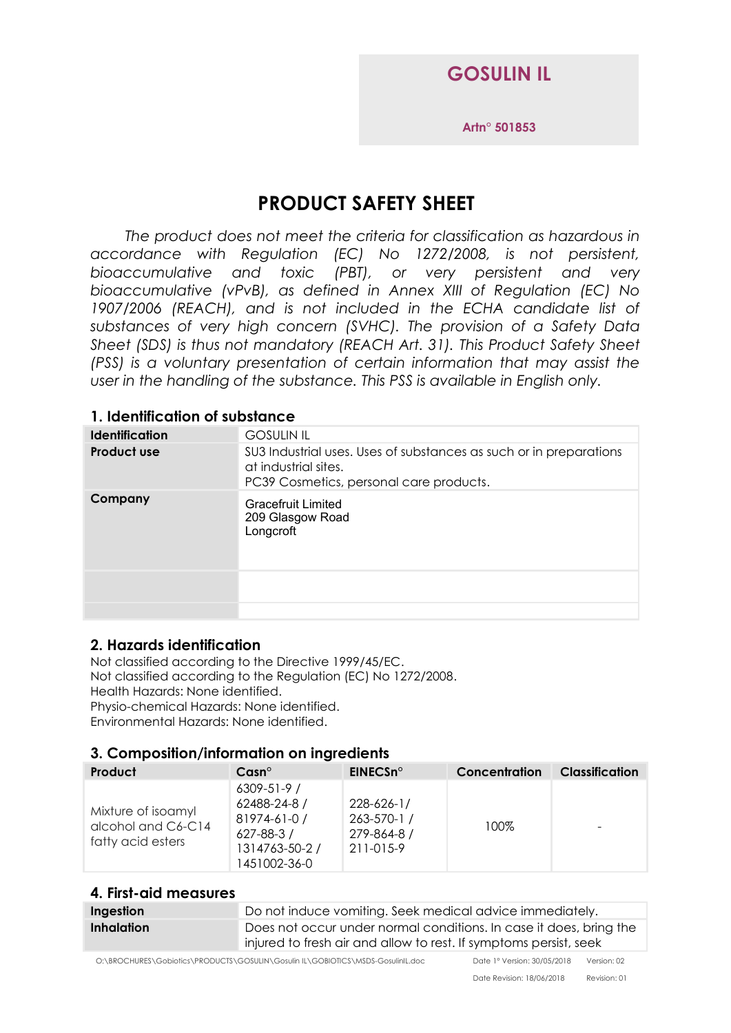## **GOSULIN IL**

**Artn° 501853**

# **PRODUCT SAFETY SHEET**

*The product does not meet the criteria for classification as hazardous in accordance with Regulation (EC) No 1272/2008, is not persistent, bioaccumulative and toxic (PBT), or very persistent and very bioaccumulative (vPvB), as defined in Annex XIII of Regulation (EC) No 1907/2006 (REACH), and is not included in the ECHA candidate list of substances of very high concern (SVHC). The provision of a Safety Data Sheet (SDS) is thus not mandatory (REACH Art. 31). This Product Safety Sheet (PSS) is a voluntary presentation of certain information that may assist the user in the handling of the substance. This PSS is available in English only.*

## **1. Identification of substance**

| <b>Identification</b> | <b>GOSULIN IL</b>                                                                                                                     |  |
|-----------------------|---------------------------------------------------------------------------------------------------------------------------------------|--|
| Product use           | SU3 Industrial uses. Uses of substances as such or in preparations<br>at industrial sites.<br>PC39 Cosmetics, personal care products. |  |
| Company               | <b>Gracefruit Limited</b><br>209 Glasgow Road<br>Longcroft                                                                            |  |
|                       |                                                                                                                                       |  |
|                       |                                                                                                                                       |  |

## **2. Hazards identification**

Not classified according to the Directive 1999/45/EC. Not classified according to the Regulation (EC) No 1272/2008. Health Hazards: None identified. Physio-chemical Hazards: None identified. Environmental Hazards: None identified.

## **3. Composition/information on ingredients**

| Product                                                       | $\mathsf{Cas} \mathsf{n}^\circ$                                                                       | EINECSn°                                              | Concentration | <b>Classification</b>    |
|---------------------------------------------------------------|-------------------------------------------------------------------------------------------------------|-------------------------------------------------------|---------------|--------------------------|
| Mixture of isoamyl<br>alcohol and C6-C14<br>fatty acid esters | $6309 - 51 - 97$<br>62488-24-8 /<br>81974-61-0 /<br>$627 - 88 - 37$<br>1314763-50-2 /<br>1451002-36-0 | 228-626-1/<br>263-570-1 /<br>279-864-8 /<br>211-015-9 | 100%          | $\overline{\phantom{a}}$ |

### **4. First-aid measures**

| Ingestion  | Do not induce vomiting. Seek medical advice immediately.                                                                                |
|------------|-----------------------------------------------------------------------------------------------------------------------------------------|
| Inhalation | Does not occur under normal conditions. In case it does, bring the<br>injured to fresh air and allow to rest. If symptoms persist, seek |

O:\BROCHURES\Gobiotics\PRODUCTS\GOSULIN\Gosulin IL\GOBIOTICS\MSDS-GosulinIL.doc Date 1° Version: 30/05/2018 Version: 02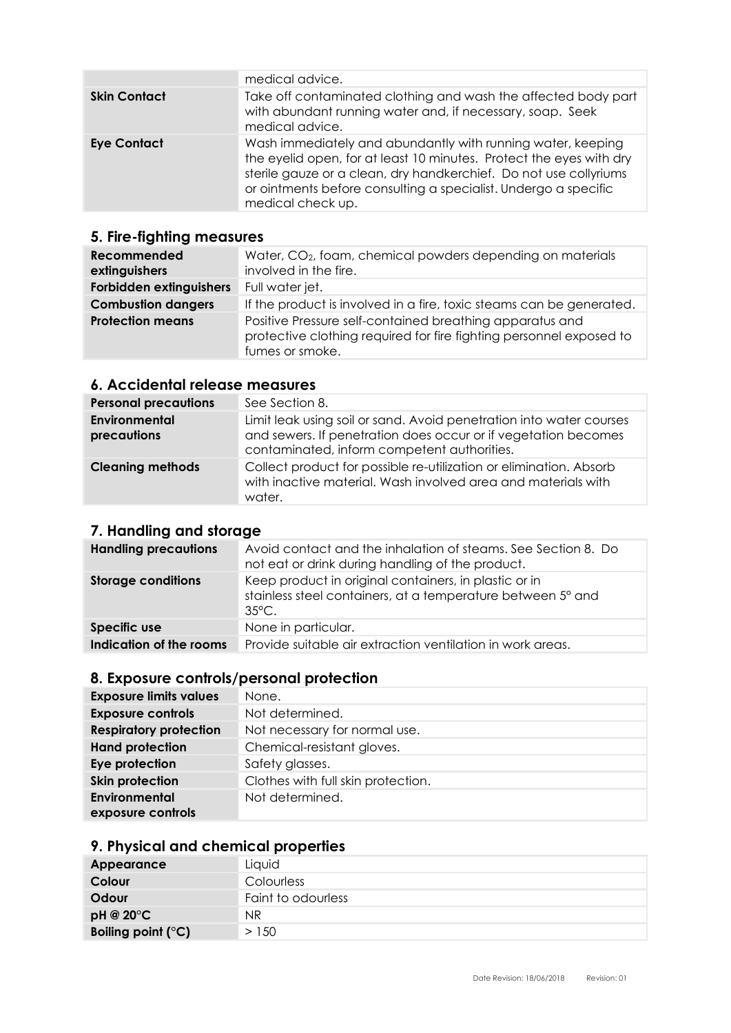|                     | medical advice.                                                                                                                                                                                                                                                                                 |
|---------------------|-------------------------------------------------------------------------------------------------------------------------------------------------------------------------------------------------------------------------------------------------------------------------------------------------|
| <b>Skin Contact</b> | Take off contaminated clothing and wash the affected body part<br>with abundant running water and, if necessary, soap. Seek<br>medical advice.                                                                                                                                                  |
| <b>Eye Contact</b>  | Wash immediately and abundantly with running water, keeping<br>the eyelid open, for at least 10 minutes. Protect the eyes with dry<br>sterile gauze or a clean, dry handkerchief. Do not use collyriums<br>or ointments before consulting a specialist. Undergo a specific<br>medical check up. |

## **5. Fire-fighting measures**

| Recommended<br>extinguishers | Water, CO <sub>2</sub> , foam, chemical powders depending on materials<br>involved in the fire.                                                    |
|------------------------------|----------------------------------------------------------------------------------------------------------------------------------------------------|
| Forbidden extinguishers      | Full water jet.                                                                                                                                    |
| <b>Combustion dangers</b>    | If the product is involved in a fire, toxic steams can be generated.                                                                               |
| <b>Protection means</b>      | Positive Pressure self-contained breathing apparatus and<br>protective clothing required for fire fighting personnel exposed to<br>fumes or smoke. |

## **6. Accidental release measures**

| <b>Personal precautions</b>         | See Section 8.                                                                                                                                                                       |
|-------------------------------------|--------------------------------------------------------------------------------------------------------------------------------------------------------------------------------------|
| <b>Environmental</b><br>precautions | Limit leak using soil or sand. Avoid penetration into water courses<br>and sewers. If penetration does occur or if vegetation becomes<br>contaminated, inform competent authorities. |
| <b>Cleaning methods</b>             | Collect product for possible re-utilization or elimination. Absorb<br>with inactive material. Wash involved area and materials with<br>water.                                        |

## **7. Handling and storage**

| <b>Handling precautions</b> | Avoid contact and the inhalation of steams. See Section 8. Do<br>not eat or drink during handling of the product.                       |
|-----------------------------|-----------------------------------------------------------------------------------------------------------------------------------------|
| <b>Storage conditions</b>   | Keep product in original containers, in plastic or in<br>stainless steel containers, at a temperature between 5° and<br>$35^{\circ}$ C. |
| <b>Specific use</b>         | None in particular.                                                                                                                     |
| Indication of the rooms     | Provide suitable air extraction ventilation in work areas.                                                                              |

## **8. Exposure controls/personal protection**

| <b>Exposure limits values</b> | None.                              |
|-------------------------------|------------------------------------|
| <b>Exposure controls</b>      | Not determined.                    |
| <b>Respiratory protection</b> | Not necessary for normal use.      |
| <b>Hand protection</b>        | Chemical-resistant gloves.         |
| Eye protection                | Safety glasses.                    |
| Skin protection               | Clothes with full skin protection. |
| Environmental                 | Not determined.                    |
| exposure controls             |                                    |

## **9. Physical and chemical properties**

| Appearance                  | Liquid             |
|-----------------------------|--------------------|
| Colour                      | Colourless         |
| Odour                       | Faint to odourless |
| pH @ 20°C                   | ΝR                 |
| Boiling point $(^{\circ}C)$ | >150               |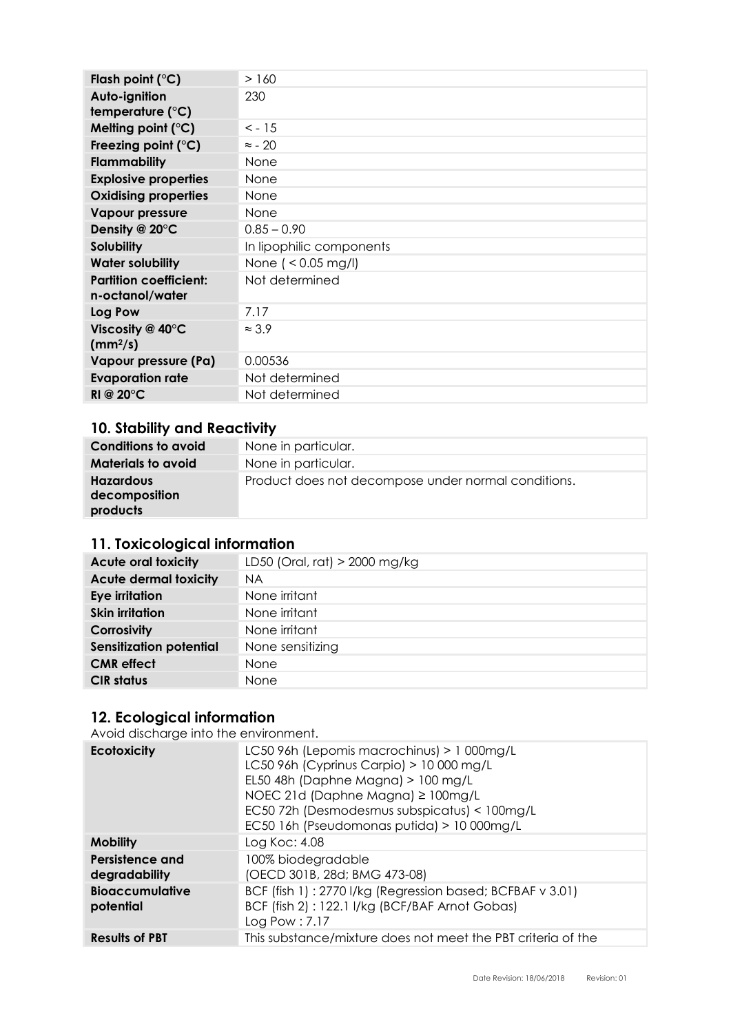| Flash point $(^{\circ}C)$                        | >160                     |
|--------------------------------------------------|--------------------------|
| Auto-ignition                                    | 230                      |
| temperature $(^{\circ}C)$                        |                          |
| Melting point $(^{\circ}C)$                      | $< -15$                  |
| Freezing point $(^\circ C)$                      | $\approx$ - 20           |
| Flammability                                     | None                     |
| <b>Explosive properties</b>                      | None                     |
| <b>Oxidising properties</b>                      | None                     |
| <b>Vapour pressure</b>                           | None                     |
| Density @ 20°C                                   | $0.85 - 0.90$            |
| <b>Solubility</b>                                | In lipophilic components |
| <b>Water solubility</b>                          | None ( $< 0.05$ mg/l)    |
| <b>Partition coefficient:</b><br>n-octanol/water | Not determined           |
| <b>Log Pow</b>                                   | 7.17                     |
| Viscosity @ $40^{\circ}$ C<br>$(mm^2/s)$         | $\approx$ 3.9            |
| Vapour pressure (Pa)                             | 0.00536                  |
| <b>Evaporation rate</b>                          | Not determined           |
| RI @ $20^{\circ}$ C                              | Not determined           |

## **10. Stability and Reactivity**

| <b>Conditions to avoid</b>                    | None in particular.                                 |
|-----------------------------------------------|-----------------------------------------------------|
| <b>Materials to avoid</b>                     | None in particular.                                 |
| <b>Hazardous</b><br>decomposition<br>products | Product does not decompose under normal conditions. |
|                                               |                                                     |

## **11. Toxicological information**

| <b>Acute oral toxicity</b>     | LD50 (Oral, rat) > 2000 mg/kg |
|--------------------------------|-------------------------------|
| <b>Acute dermal toxicity</b>   | <b>NA</b>                     |
| Eye irritation                 | None irritant                 |
| <b>Skin irritation</b>         | None irritant                 |
| Corrosivity                    | None irritant                 |
| <b>Sensitization potential</b> | None sensitizing              |
| <b>CMR</b> effect              | None                          |
| <b>CIR status</b>              | None                          |
|                                |                               |

## **12. Ecological information**

Avoid discharge into the environment.

| <b>Ecotoxicity</b>                  | LC50 96h (Lepomis macrochinus) > 1 000mg/L<br>LC50 96h (Cyprinus Carpio) > 10 000 mg/L<br>EL50 48h (Daphne Magna) > 100 mg/L<br>NOEC 21d (Daphne Magna) ≥ 100mg/L<br>EC50 72h (Desmodesmus subspicatus) < 100mg/L<br>EC50 16h (Pseudomonas putida) > 10 000mg/L |
|-------------------------------------|-----------------------------------------------------------------------------------------------------------------------------------------------------------------------------------------------------------------------------------------------------------------|
| <b>Mobility</b>                     | Log Koc: 4.08                                                                                                                                                                                                                                                   |
| Persistence and<br>degradability    | 100% biodegradable<br>(OECD 301B, 28d; BMG 473-08)                                                                                                                                                                                                              |
| <b>Bioaccumulative</b><br>potential | BCF (fish 1): 2770 I/kg (Regression based; BCFBAF v 3.01)<br>BCF (fish 2): 122.1 I/kg (BCF/BAF Arnot Gobas)<br>Log Pow : 7.17                                                                                                                                   |
| <b>Results of PBT</b>               | This substance/mixture does not meet the PBT criteria of the                                                                                                                                                                                                    |